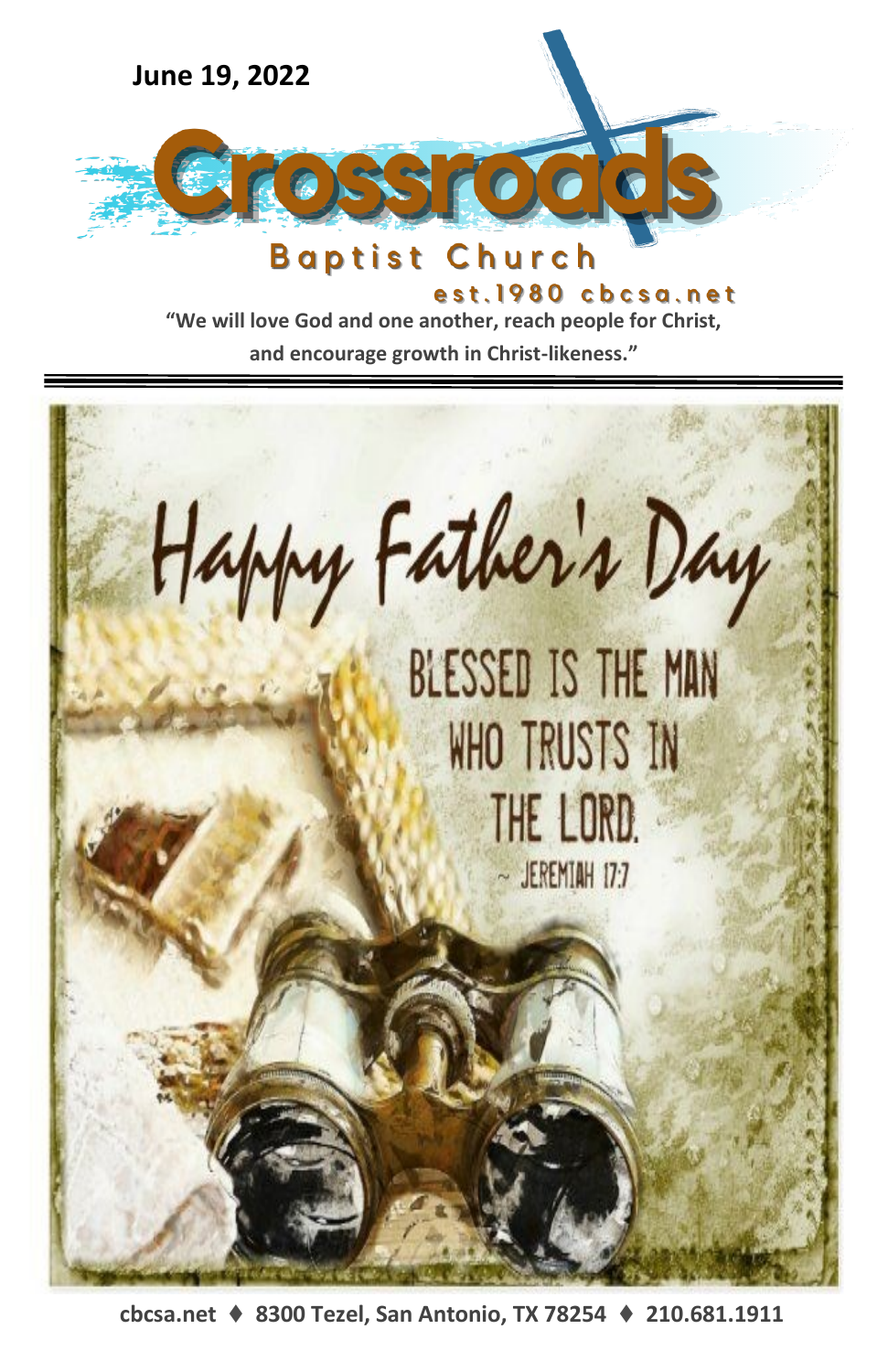

est.1980 cbcsa.net

**"We will love God and one another, reach people for Christ,** 

**and encourage growth in Christ-likeness."**



**cbcsa.net** ⧫ **8300 Tezel, San Antonio, TX 78254** ⧫ **210.681.1911**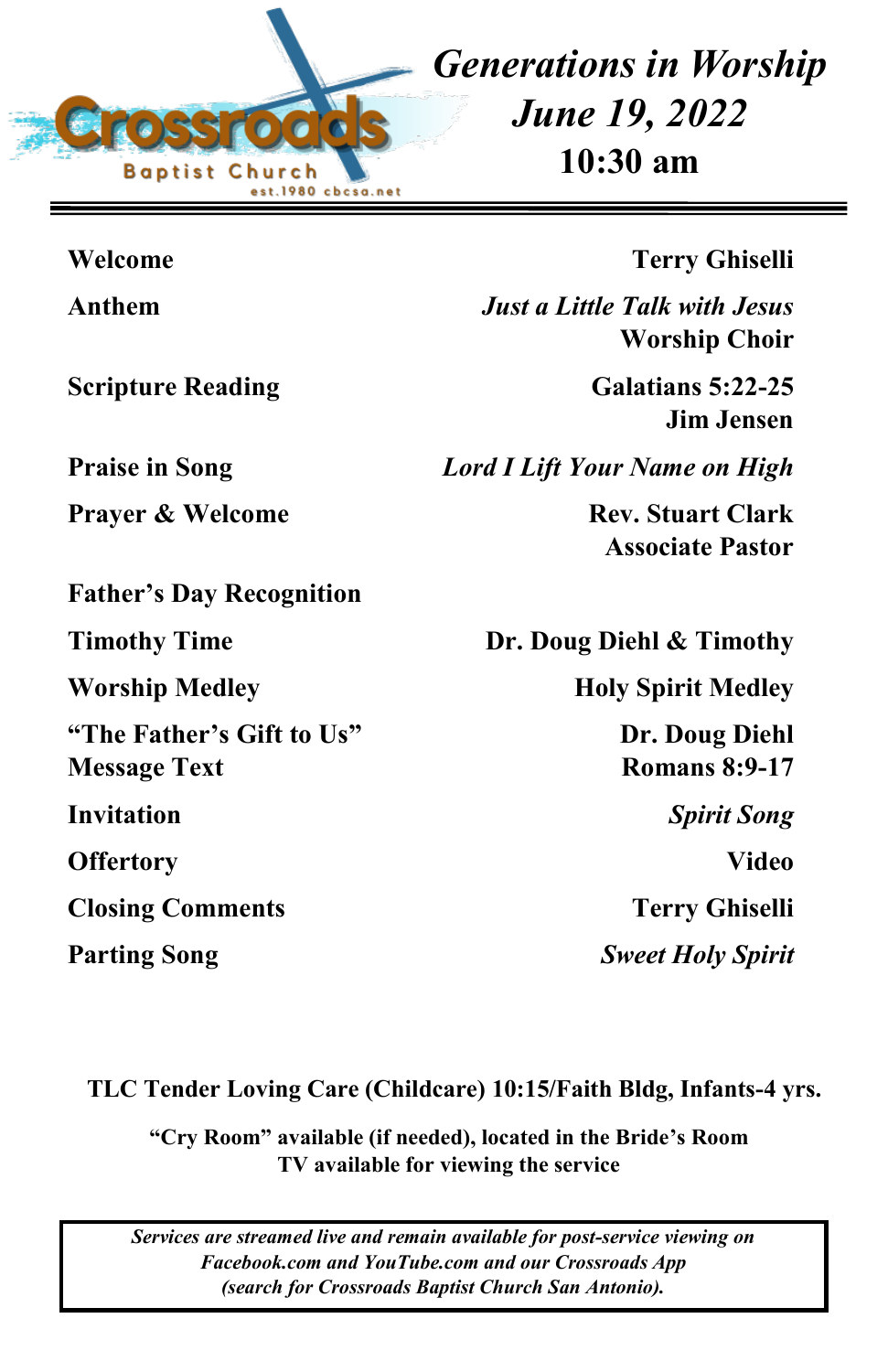

*Generations in Worship June 19, 2022* **10:30 am**

| Welcome                                          | <b>Terry Ghiselli</b>                                        |
|--------------------------------------------------|--------------------------------------------------------------|
| Anthem                                           | <b>Just a Little Talk with Jesus</b><br><b>Worship Choir</b> |
| <b>Scripture Reading</b>                         | Galatians 5:22-25<br><b>Jim Jensen</b>                       |
| <b>Praise in Song</b>                            | <b>Lord I Lift Your Name on High</b>                         |
| <b>Prayer &amp; Welcome</b>                      | <b>Rev. Stuart Clark</b><br><b>Associate Pastor</b>          |
| <b>Father's Day Recognition</b>                  |                                                              |
| <b>Timothy Time</b>                              | Dr. Doug Diehl & Timothy                                     |
| <b>Worship Medley</b>                            | <b>Holy Spirit Medley</b>                                    |
| "The Father's Gift to Us"<br><b>Message Text</b> | Dr. Doug Diehl<br><b>Romans 8:9-17</b>                       |
| Invitation                                       | <b>Spirit Song</b>                                           |
| <b>Offertory</b>                                 | <b>Video</b>                                                 |
| <b>Closing Comments</b>                          | <b>Terry Ghiselli</b>                                        |
| <b>Parting Song</b>                              | <b>Sweet Holy Spirit</b>                                     |
|                                                  |                                                              |

**TLC Tender Loving Care (Childcare) 10:15/Faith Bldg, Infants-4 yrs.**

**"Cry Room" available (if needed), located in the Bride's Room TV available for viewing the service**

*Services are streamed live and remain available for post-service viewing on Facebook.com and YouTube.com and our Crossroads App (search for Crossroads Baptist Church San Antonio).*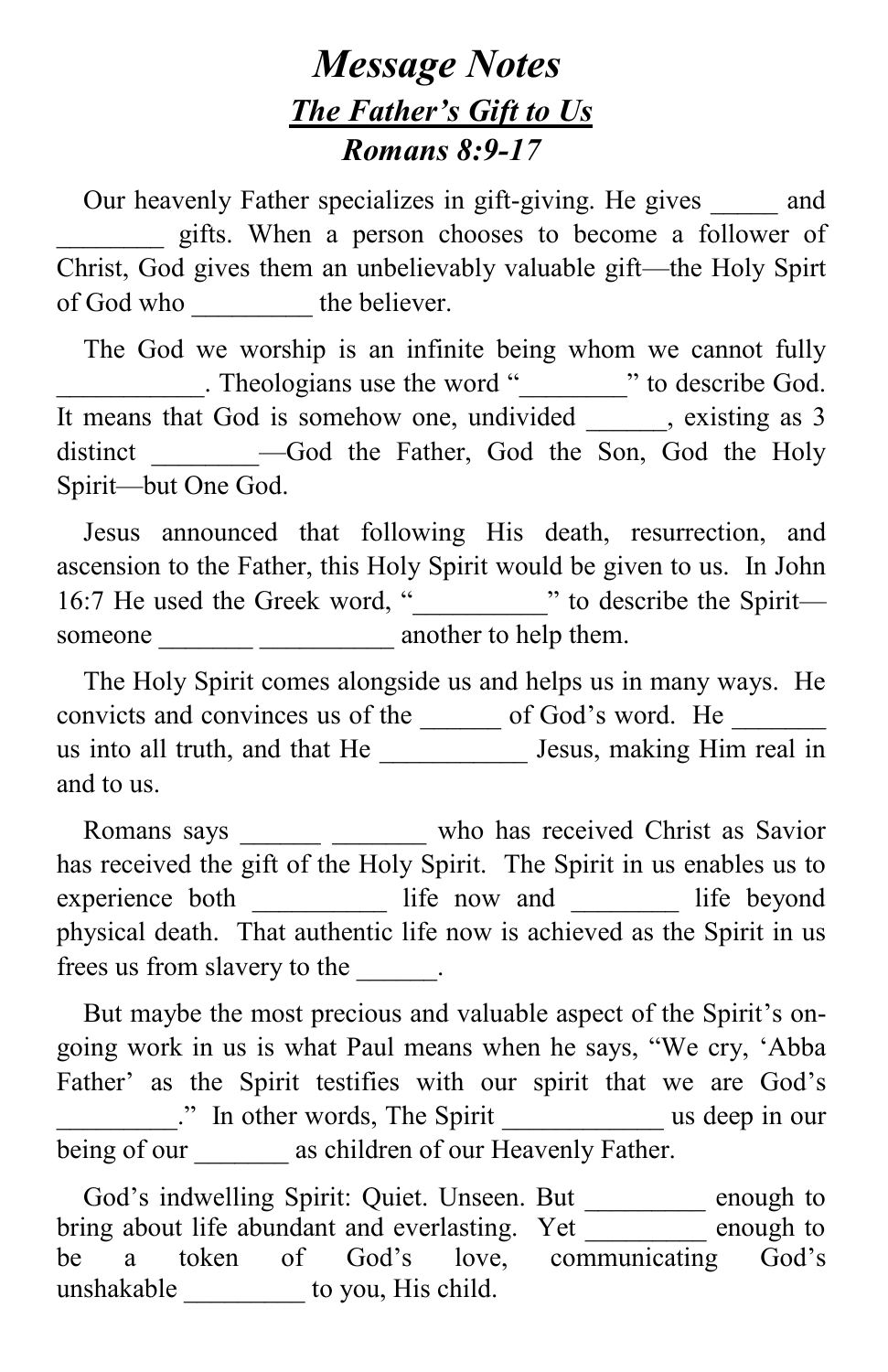## *Message Notes The Father's Gift to Us Romans 8:9-17*

Our heavenly Father specializes in gift-giving. He gives and \_\_\_\_\_\_\_\_ gifts. When a person chooses to become a follower of Christ, God gives them an unbelievably valuable gift—the Holy Spirt of God who \_\_\_\_\_\_\_\_\_\_\_\_\_\_ the believer.

 The God we worship is an infinite being whom we cannot fully Theologians use the word "\_\_\_\_\_\_\_\_\_" to describe God. It means that God is somehow one, undivided, existing as 3 distinct - God the Father, God the Son, God the Holy Spirit—but One God.

 Jesus announced that following His death, resurrection, and ascension to the Father, this Holy Spirit would be given to us. In John 16:7 He used the Greek word, "*\_\_\_\_\_\_\_\_\_\_*" to describe the Spirit someone another to help them.

 The Holy Spirit comes alongside us and helps us in many ways. He convicts and convinces us of the settled of God's word. He us into all truth, and that He \_\_\_\_\_\_\_\_\_\_\_ Jesus, making Him real in and to us.

Romans says \_\_\_\_\_\_\_ who has received Christ as Savior has received the gift of the Holy Spirit. The Spirit in us enables us to experience both \_\_\_\_\_\_\_\_\_\_\_\_ life now and \_\_\_\_\_\_\_\_\_ life beyond physical death. That authentic life now is achieved as the Spirit in us frees us from slavery to the  $\qquad \qquad$ .

 But maybe the most precious and valuable aspect of the Spirit's ongoing work in us is what Paul means when he says, "We cry, 'Abba Father' as the Spirit testifies with our spirit that we are God's \_\_\_\_\_\_\_\_\_." In other words, The Spirit \_\_\_\_\_\_\_\_\_\_\_\_ us deep in our being of our as children of our Heavenly Father.

 God's indwelling Spirit: Quiet. Unseen. But \_\_\_\_\_\_\_\_\_ enough to bring about life abundant and everlasting. Yet enough to be a token of God's love, communicating God's unshakable \_\_\_\_\_\_\_\_\_ to you, His child.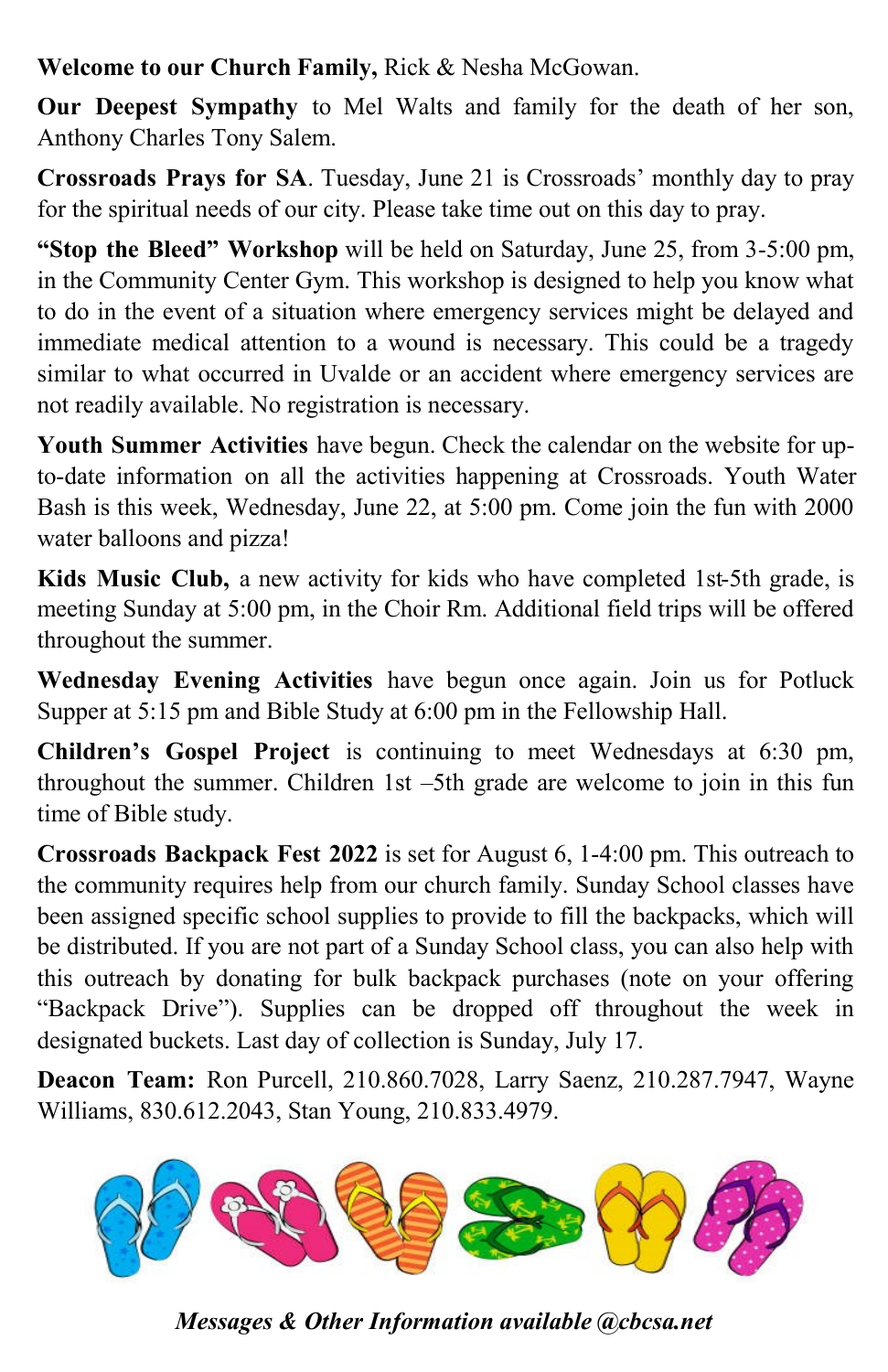**Welcome to our Church Family,** Rick & Nesha McGowan.

**Our Deepest Sympathy** to Mel Walts and family for the death of her son, Anthony Charles Tony Salem.

**Crossroads Prays for SA**. Tuesday, June 21 is Crossroads' monthly day to pray for the spiritual needs of our city. Please take time out on this day to pray.

**"Stop the Bleed" Workshop** will be held on Saturday, June 25, from 3-5:00 pm, in the Community Center Gym. This workshop is designed to help you know what to do in the event of a situation where emergency services might be delayed and immediate medical attention to a wound is necessary. This could be a tragedy similar to what occurred in Uvalde or an accident where emergency services are not readily available. No registration is necessary.

**Youth Summer Activities** have begun. Check the calendar on the website for upto-date information on all the activities happening at Crossroads. Youth Water Bash is this week, Wednesday, June 22, at 5:00 pm. Come join the fun with 2000 water balloons and pizza!

**Kids Music Club,** a new activity for kids who have completed 1st-5th grade, is meeting Sunday at 5:00 pm, in the Choir Rm. Additional field trips will be offered throughout the summer.

**Wednesday Evening Activities** have begun once again. Join us for Potluck Supper at 5:15 pm and Bible Study at 6:00 pm in the Fellowship Hall.

**Children's Gospel Project** is continuing to meet Wednesdays at 6:30 pm, throughout the summer. Children 1st –5th grade are welcome to join in this fun time of Bible study.

**Crossroads Backpack Fest 2022** is set for August 6, 1-4:00 pm. This outreach to the community requires help from our church family. Sunday School classes have been assigned specific school supplies to provide to fill the backpacks, which will be distributed. If you are not part of a Sunday School class, you can also help with this outreach by donating for bulk backpack purchases (note on your offering "Backpack Drive"). Supplies can be dropped off throughout the week in designated buckets. Last day of collection is Sunday, July 17.

**Deacon Team:** Ron Purcell, 210.860.7028, Larry Saenz, 210.287.7947, Wayne Williams, 830.612.2043, Stan Young, 210.833.4979.



*Messages & Other Information available @cbcsa.net*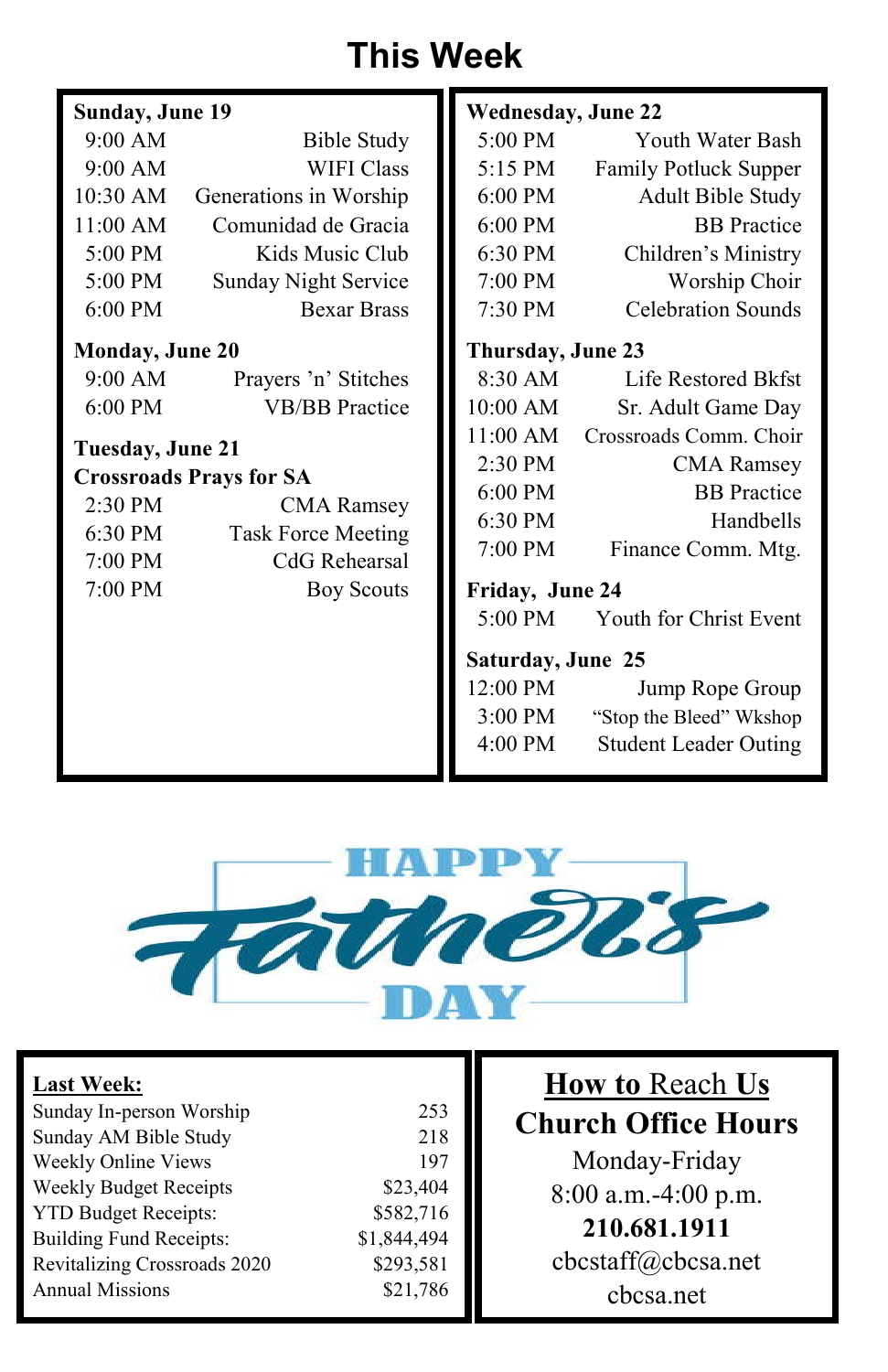# **This Week**

| Sunday, June 19        |                                | <b>Wednesday, June 22</b> |                                |  |
|------------------------|--------------------------------|---------------------------|--------------------------------|--|
| 9:00 AM                | <b>Bible Study</b>             | 5:00 PM                   | Youth Water Bash               |  |
| 9:00 AM                | <b>WIFI Class</b>              | 5:15 PM                   | <b>Family Potluck Supper</b>   |  |
| $10:30$ AM             | Generations in Worship         | $6:00 \text{ PM}$         | <b>Adult Bible Study</b>       |  |
| 11:00 AM               | Comunidad de Gracia            | 6:00 PM                   | <b>BB</b> Practice             |  |
| $5:00 \text{ PM}$      | Kids Music Club                | 6:30 PM                   | Children's Ministry            |  |
| $5:00 \text{ PM}$      | <b>Sunday Night Service</b>    | 7:00 PM                   | Worship Choir                  |  |
| $6:00 \text{ PM}$      | <b>Bexar Brass</b>             | 7:30 PM                   | <b>Celebration Sounds</b>      |  |
| <b>Monday, June 20</b> |                                | Thursday, June 23         |                                |  |
| 9:00 AM                | Prayers 'n' Stitches           | 8:30 AM                   | Life Restored Bkfst            |  |
| $6:00$ PM              | <b>VB/BB</b> Practice          | 10:00 AM                  | Sr. Adult Game Day             |  |
| Tuesday, June 21       |                                | 11:00 AM                  | Crossroads Comm. Choir         |  |
|                        | <b>Crossroads Prays for SA</b> | $2:30 \text{ PM}$         | <b>CMA</b> Ramsey              |  |
| $2:30$ PM              | <b>CMA Ramsey</b>              | $6:00 \text{ PM}$         | <b>BB</b> Practice             |  |
| 6:30 PM                | <b>Task Force Meeting</b>      | $6:30 \text{ PM}$         | Handbells                      |  |
| 7:00 PM                | CdG Rehearsal                  | 7:00 PM                   | Finance Comm. Mtg.             |  |
| 7:00 PM                | <b>Boy Scouts</b>              | Friday, June 24           |                                |  |
|                        |                                |                           | 5:00 PM Youth for Christ Event |  |
|                        |                                | Saturday, June 25         |                                |  |
|                        |                                | 12:00 PM                  | Jump Rope Group                |  |
|                        |                                | 3:00 PM                   | "Stop the Bleed" Wkshop        |  |
|                        |                                | 4:00 PM                   | <b>Student Leader Outing</b>   |  |



| <b>Last Week:</b>              |             |
|--------------------------------|-------------|
| Sunday In-person Worship       | 253         |
| Sunday AM Bible Study          | 218         |
| Weekly Online Views            | 197         |
| <b>Weekly Budget Receipts</b>  | \$23,404    |
| <b>YTD Budget Receipts:</b>    | \$582,716   |
| <b>Building Fund Receipts:</b> | \$1,844,494 |
| Revitalizing Crossroads 2020   | \$293,581   |
| <b>Annual Missions</b>         | \$21,786    |
|                                |             |

**How to** Reach **Us Church Office Hours** Monday-Friday 8:00 a.m.-4:00 p.m. **210.681.1911** cbcstaff@cbcsa.net cbcsa.net